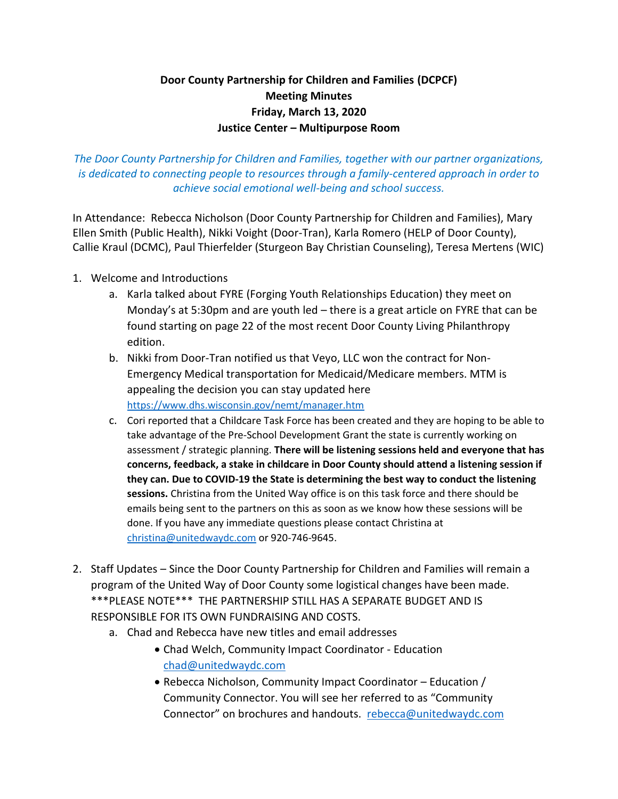## **Door County Partnership for Children and Families (DCPCF) Meeting Minutes Friday, March 13, 2020 Justice Center – Multipurpose Room**

*The Door County Partnership for Children and Families, together with our partner organizations, is dedicated to connecting people to resources through a family-centered approach in order to achieve social emotional well-being and school success.*

In Attendance: Rebecca Nicholson (Door County Partnership for Children and Families), Mary Ellen Smith (Public Health), Nikki Voight (Door-Tran), Karla Romero (HELP of Door County), Callie Kraul (DCMC), Paul Thierfelder (Sturgeon Bay Christian Counseling), Teresa Mertens (WIC)

- 1. Welcome and Introductions
	- a. Karla talked about FYRE (Forging Youth Relationships Education) they meet on Monday's at 5:30pm and are youth led – there is a great article on FYRE that can be found starting on page 22 of the most recent Door County Living Philanthropy edition.
	- b. Nikki from Door-Tran notified us that Veyo, LLC won the contract for Non-Emergency Medical transportation for Medicaid/Medicare members. MTM is appealing the decision you can stay updated here <https://www.dhs.wisconsin.gov/nemt/manager.htm>
	- c. Cori reported that a Childcare Task Force has been created and they are hoping to be able to take advantage of the Pre-School Development Grant the state is currently working on assessment / strategic planning. **There will be listening sessions held and everyone that has concerns, feedback, a stake in childcare in Door County should attend a listening session if they can. Due to COVID-19 the State is determining the best way to conduct the listening sessions.** Christina from the United Way office is on this task force and there should be emails being sent to the partners on this as soon as we know how these sessions will be done. If you have any immediate questions please contact Christina at [christina@unitedwaydc.com](mailto:christina@unitedwaydc.com) or 920-746-9645.
- 2. Staff Updates Since the Door County Partnership for Children and Families will remain a program of the United Way of Door County some logistical changes have been made. \*\*\*PLEASE NOTE\*\*\* THE PARTNERSHIP STILL HAS A SEPARATE BUDGET AND IS RESPONSIBLE FOR ITS OWN FUNDRAISING AND COSTS.
	- a. Chad and Rebecca have new titles and email addresses
		- Chad Welch, Community Impact Coordinator Education [chad@unitedwaydc.com](mailto:chad@unitedwaydc.com)
		- Rebecca Nicholson, Community Impact Coordinator Education / Community Connector. You will see her referred to as "Community Connector" on brochures and handouts. [rebecca@unitedwaydc.com](mailto:rebecca@unitedwaydc.com)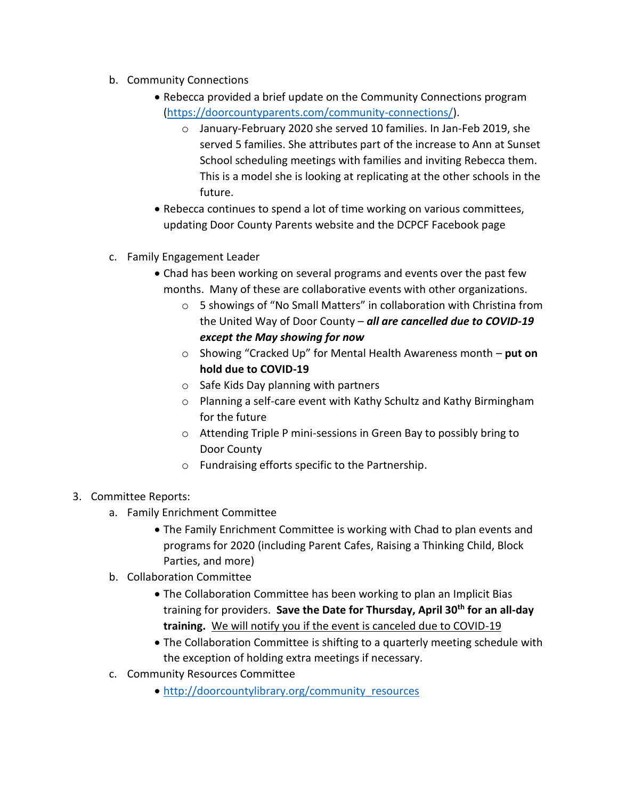- b. Community Connections
	- Rebecca provided a brief update on the Community Connections program [\(https://doorcountyparents.com/community-connections/\)](https://doorcountyparents.com/community-connections/).
		- o January-February 2020 she served 10 families. In Jan-Feb 2019, she served 5 families. She attributes part of the increase to Ann at Sunset School scheduling meetings with families and inviting Rebecca them. This is a model she is looking at replicating at the other schools in the future.
	- Rebecca continues to spend a lot of time working on various committees, updating Door County Parents website and the DCPCF Facebook page
- c. Family Engagement Leader
	- Chad has been working on several programs and events over the past few months. Many of these are collaborative events with other organizations.
		- o 5 showings of "No Small Matters" in collaboration with Christina from the United Way of Door County – *all are cancelled due to COVID-19 except the May showing for now*
		- o Showing "Cracked Up" for Mental Health Awareness month **put on hold due to COVID-19**
		- o Safe Kids Day planning with partners
		- o Planning a self-care event with Kathy Schultz and Kathy Birmingham for the future
		- o Attending Triple P mini-sessions in Green Bay to possibly bring to Door County
		- o Fundraising efforts specific to the Partnership.
- 3. Committee Reports:
	- a. Family Enrichment Committee
		- The Family Enrichment Committee is working with Chad to plan events and programs for 2020 (including Parent Cafes, Raising a Thinking Child, Block Parties, and more)
	- b. Collaboration Committee
		- The Collaboration Committee has been working to plan an Implicit Bias training for providers. **Save the Date for Thursday, April 30th for an all-day training.** We will notify you if the event is canceled due to COVID-19
		- The Collaboration Committee is shifting to a quarterly meeting schedule with the exception of holding extra meetings if necessary.
	- c. Community Resources Committee
		- [http://doorcountylibrary.org/community\\_resources](http://doorcountylibrary.org/community_resources)